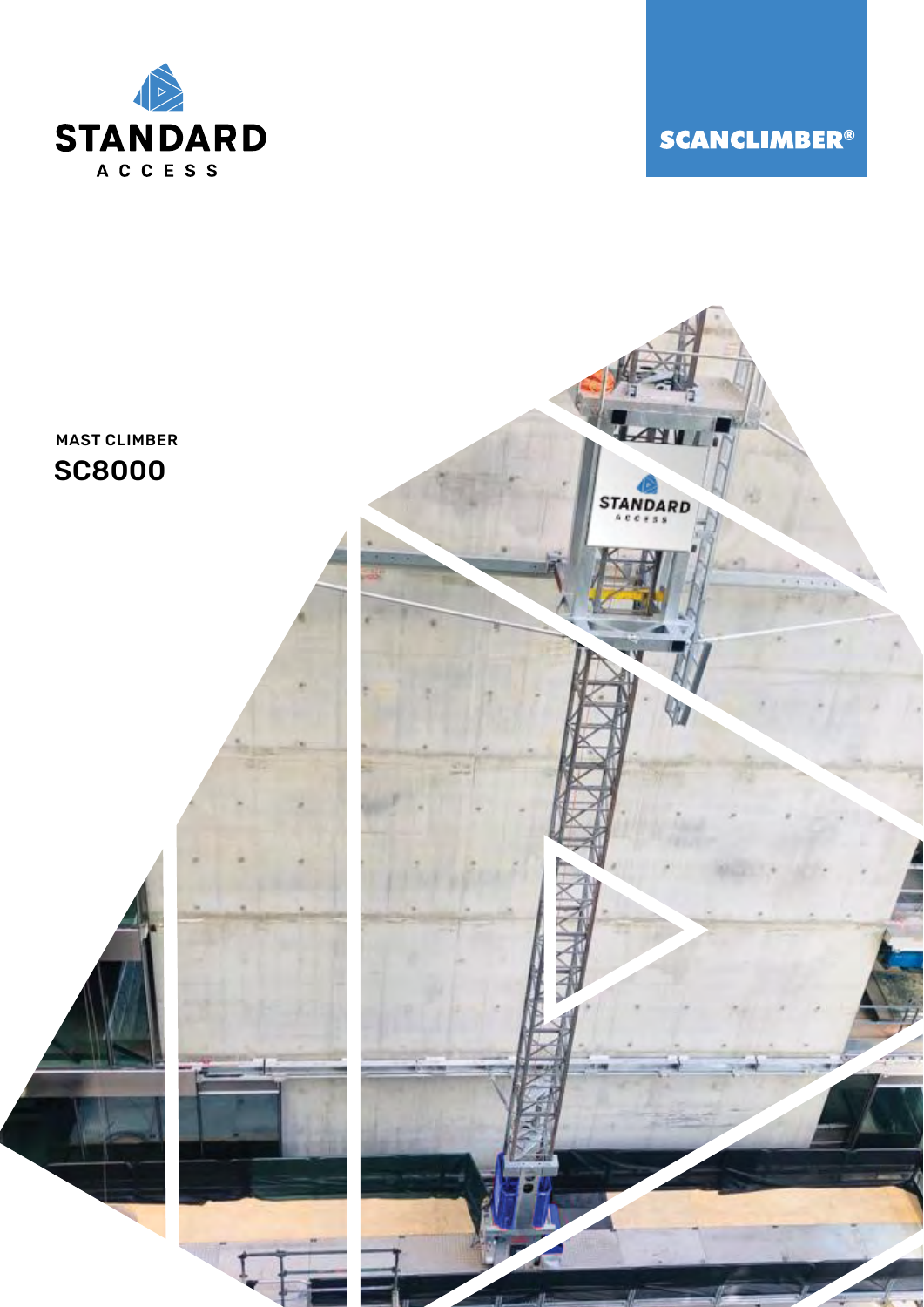

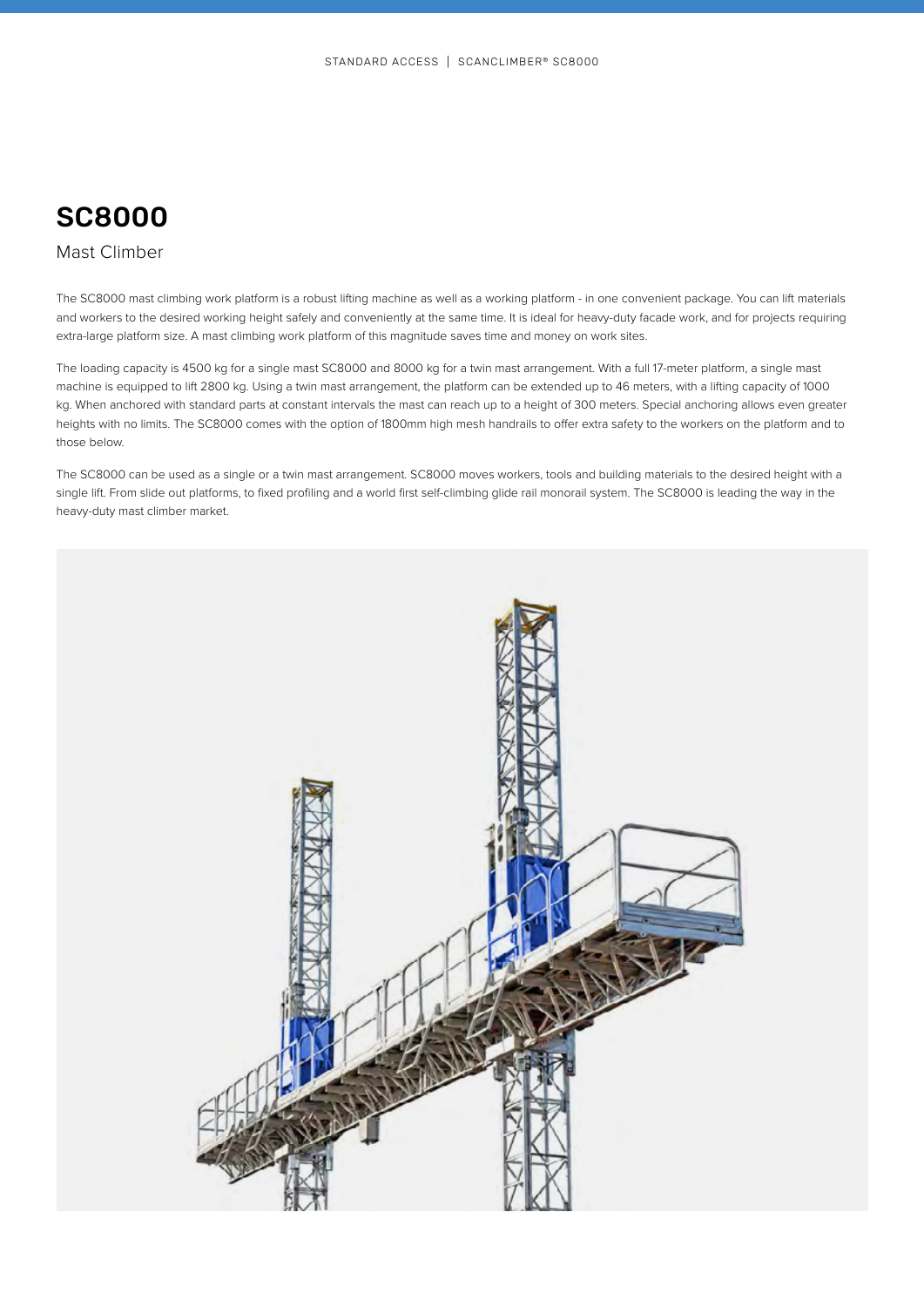## Mast Climber

The SC8000 mast climbing work platform is a robust lifting machine as well as a working platform - in one convenient package. You can lift materials and workers to the desired working height safely and conveniently at the same time. It is ideal for heavy-duty facade work, and for projects requiring extra-large platform size. A mast climbing work platform of this magnitude saves time and money on work sites.

The loading capacity is 4500 kg for a single mast SC8000 and 8000 kg for a twin mast arrangement. With a full 17-meter platform, a single mast machine is equipped to lift 2800 kg. Using a twin mast arrangement, the platform can be extended up to 46 meters, with a lifting capacity of 1000 kg. When anchored with standard parts at constant intervals the mast can reach up to a height of 300 meters. Special anchoring allows even greater heights with no limits. The SC8000 comes with the option of 1800mm high mesh handrails to offer extra safety to the workers on the platform and to those below.

The SC8000 can be used as a single or a twin mast arrangement. SC8000 moves workers, tools and building materials to the desired height with a single lift. From slide out platforms, to fixed profiling and a world first self-climbing glide rail monorail system. The SC8000 is leading the way in the heavy-duty mast climber market.

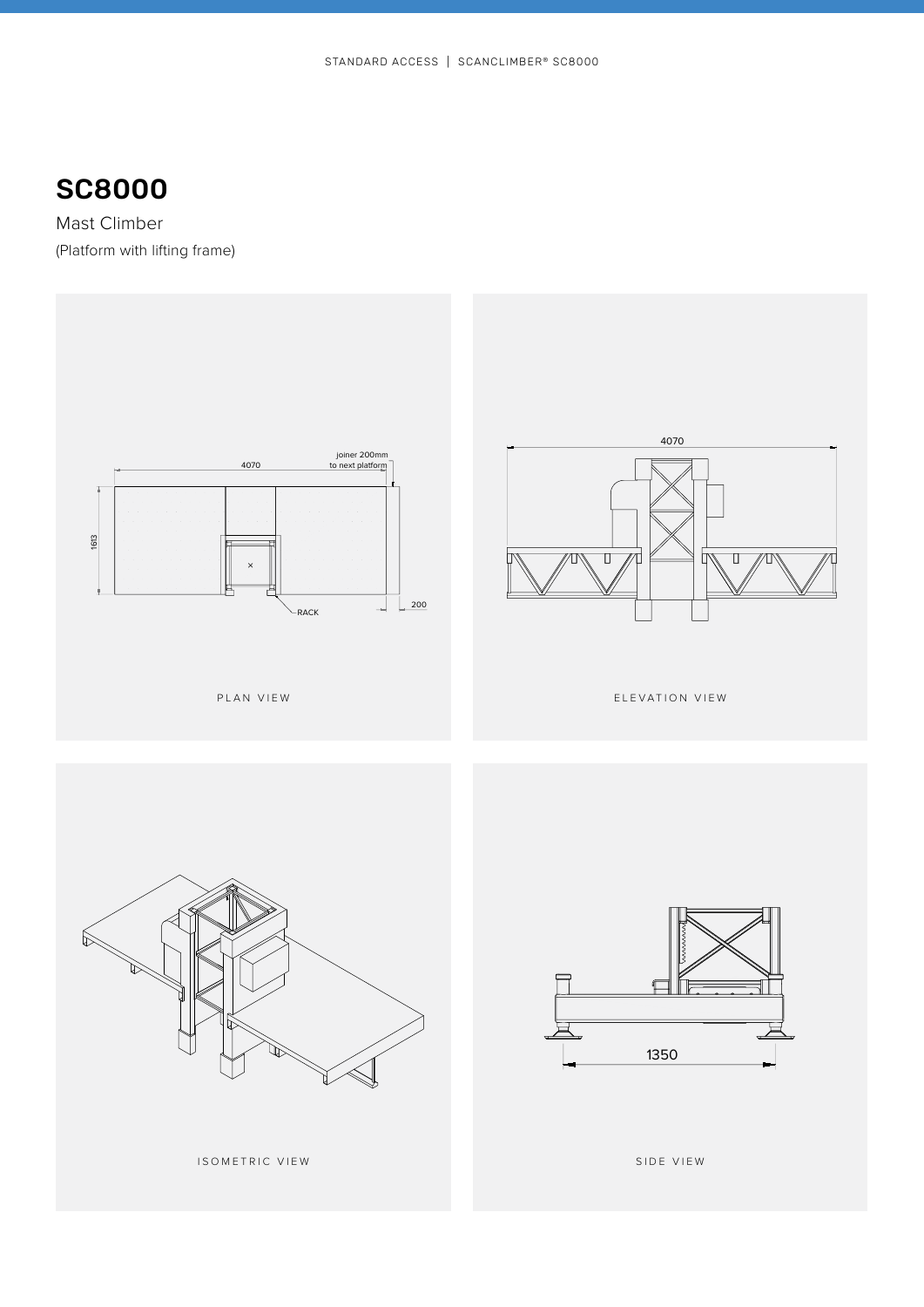Mast Climber (Platform with lifting frame)







ISOMETRIC VIEW

SIDE VIEW **SIDE VIEW**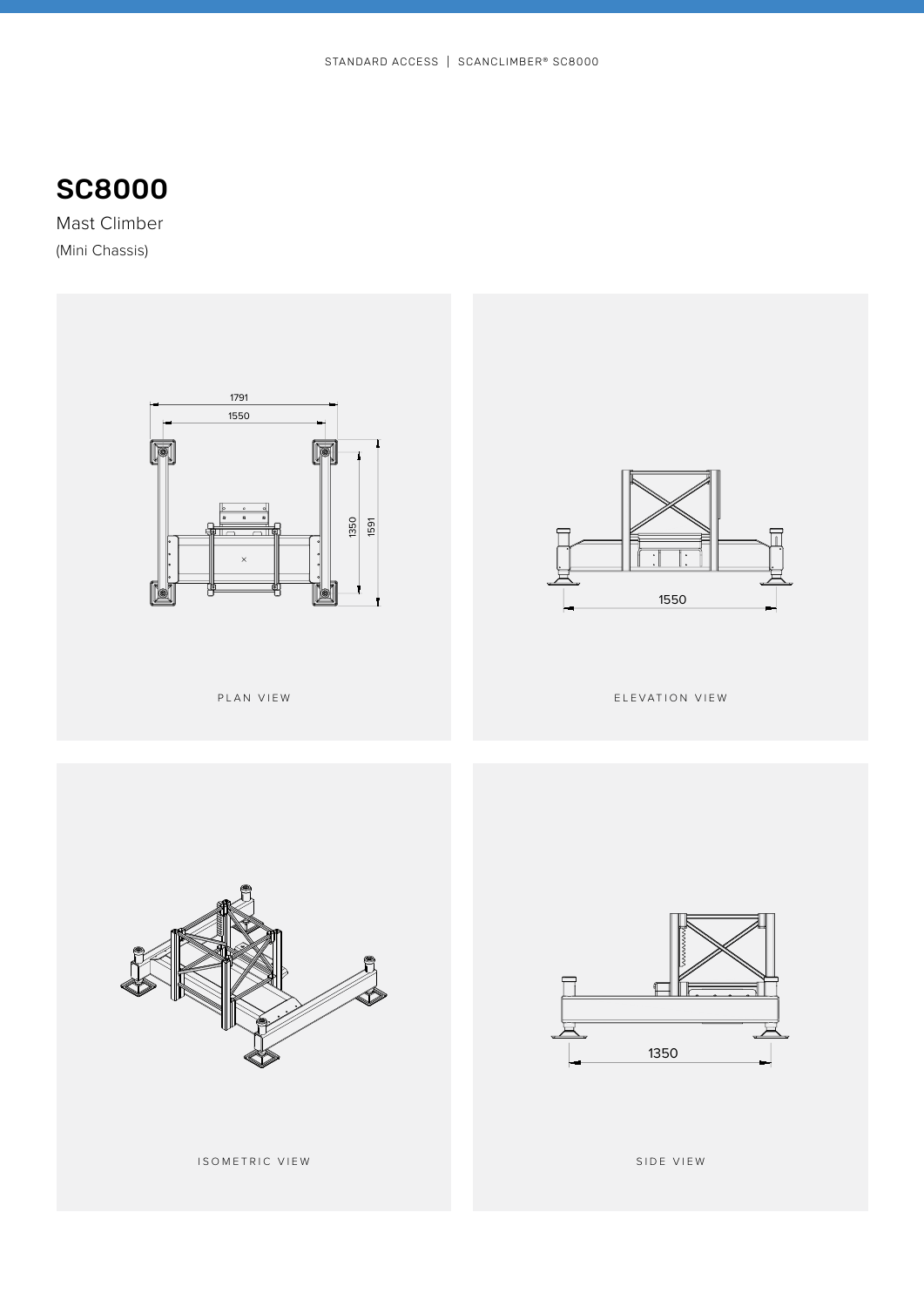

Mast Climber (Mini Chassis)



ISOMETRIC VIEW

SIDE VIEW **SIDE VIEW**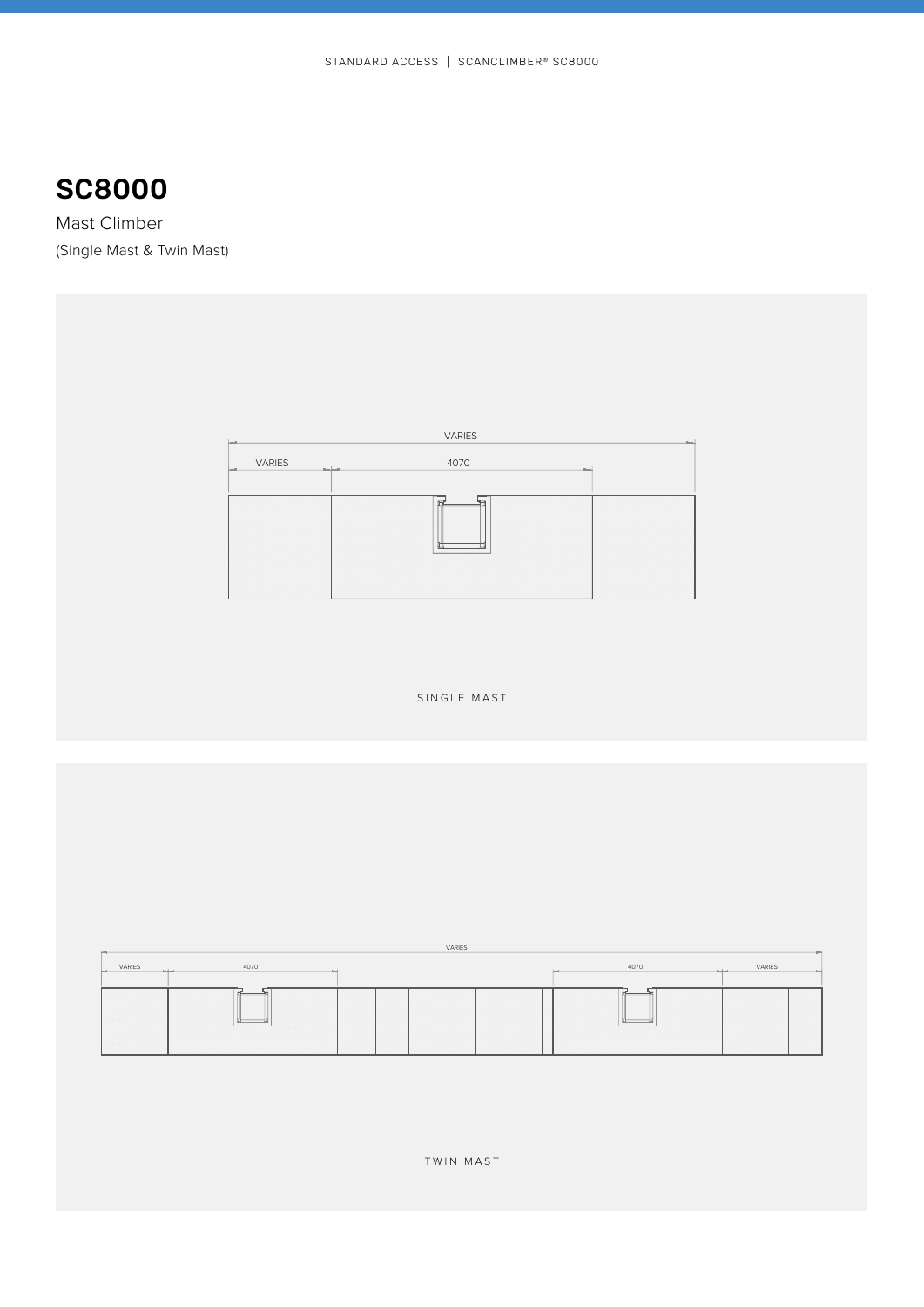Mast Climber (Single Mast & Twin Mast)

| <b>VARIES</b>                                                                                                                                    |                                                                          |                                                                  |  |  |  |  |  |
|--------------------------------------------------------------------------------------------------------------------------------------------------|--------------------------------------------------------------------------|------------------------------------------------------------------|--|--|--|--|--|
| <b>VARIES</b>                                                                                                                                    | 4070<br><b>Inc.</b>                                                      |                                                                  |  |  |  |  |  |
|                                                                                                                                                  | $\cdots$<br><b>COLLEGE</b><br>$\sim$                                     | $\cdots$                                                         |  |  |  |  |  |
| . .<br>$\sim$<br>14<br>$\sim$<br>$\sim$<br>$\sim$<br>. .                                                                                         | $\sim$ $\sim$<br>-2<br>$\sim$<br>a.<br>$\sim$<br>$\sim$<br>$\sim$<br>. . | $\sim$<br>$\sim$                                                 |  |  |  |  |  |
| $\sim$<br>$\alpha$<br>$\sim$<br>$\sim$<br>$\sim$<br>- 2<br>. .<br><b>COLLECTION</b>                                                              | $\sim$<br>$\sim$<br>$\sim$ $ \sim$                                       | ×.<br>$\sim$                                                     |  |  |  |  |  |
| $\cdots$<br><b>COLLECTION</b><br><b>COLLA</b><br>$\sim$<br>$\sim$<br><b>COLLEGE</b><br>$\sim$<br><b>11.5</b><br><b>College</b><br>$\cdot$<br>. . | $\sim$<br>a.<br>$\sim$                                                   | $\cdots$<br><b>CONTRACTOR</b><br>$\sim$<br>. .                   |  |  |  |  |  |
| $\sim$ $\sim$<br>$\sim$<br>- 4<br>$\sim$<br>$\mathbf{r}$<br><b>ALC:</b><br>$\sim$<br>$\sim$<br><b>CONTRACTOR</b><br><b>CONTRACTOR</b>            | $\sim$<br>$\sim$<br>. .                                                  | $\sim$ $\sim$ $\sim$<br>$\sim$<br>$\sim$<br>$\sim$<br><b>ALC</b> |  |  |  |  |  |

SINGLE MAST

| <b>VARIES</b>                                                                     | 4070                       |             |                                                               | VARIES                                         |  |  |  |
|-----------------------------------------------------------------------------------|----------------------------|-------------|---------------------------------------------------------------|------------------------------------------------|--|--|--|
| .<br>.<br>.<br>.<br>.<br>.<br>.<br>.<br>.<br>.<br>.<br>.<br>.<br>.<br>.<br>.<br>. | .<br>.<br>.<br>.<br>.<br>. | .<br>.<br>. | .<br>.<br>.<br>.<br>.<br>.<br>.<br>.<br>.<br>.<br>.<br>.<br>. | .<br>.<br>.<br>.<br>.<br>.<br>.<br>.<br>.<br>. |  |  |  |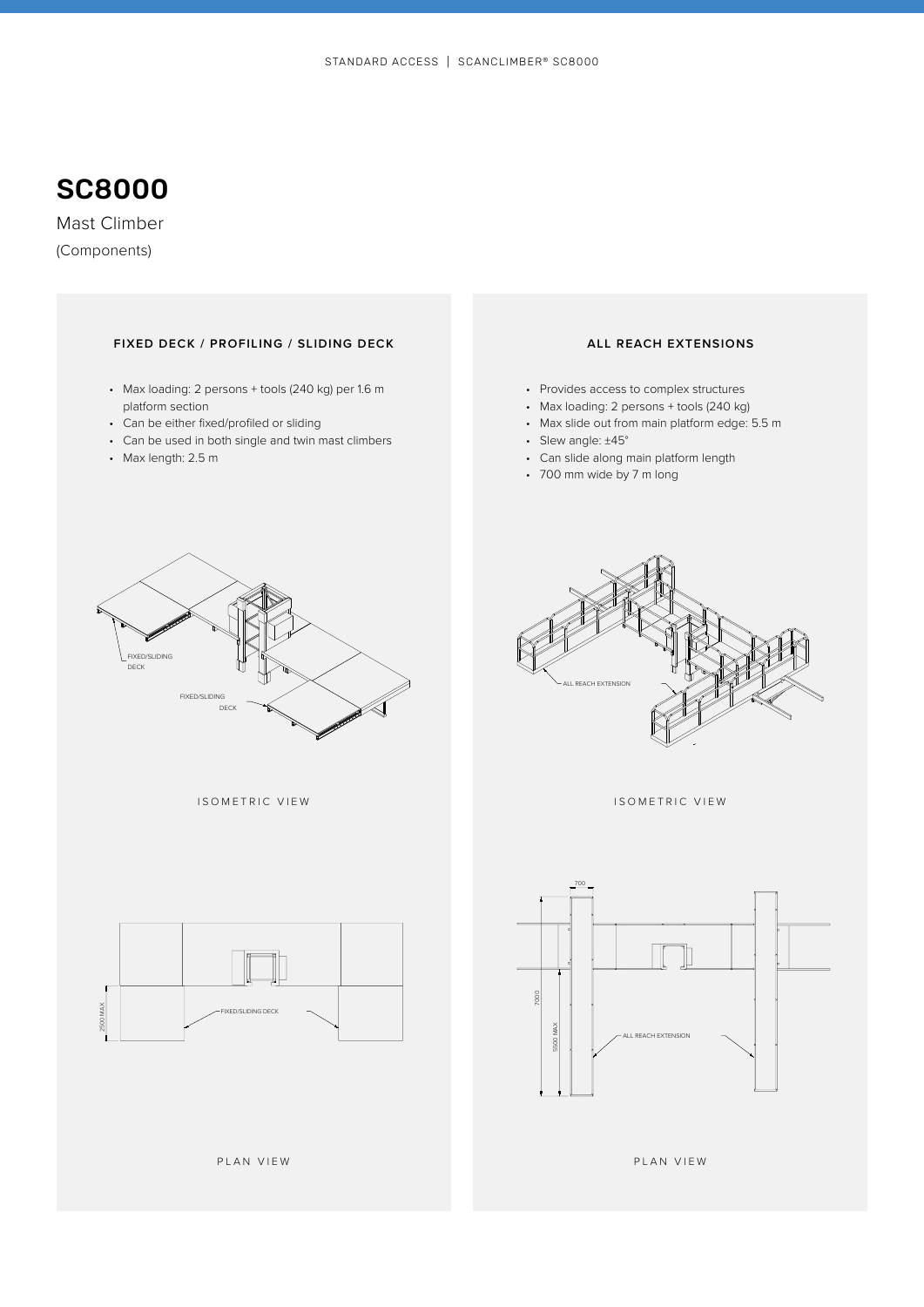Mast Climber (Components)

### **FIXED DECK / PROFILING / SLIDING DECK ALL REACH EXTENSIONS**

- platform section
- Can be either fixed/profiled or sliding
- Can be used in both single and twin mast climbers
- Max length: 2.5 m

- Provides access to complex structures
- Max loading: 2 persons + tools (240 kg)
- Max slide out from main platform edge: 5.5 m
- Slew angle: ±45°
- Can slide along main platform length
- 700 mm wide by 7 m long



ISOMETRIC VIEW





ISOMETRIC VIEW



PLAN VIEW

PLAN VIEW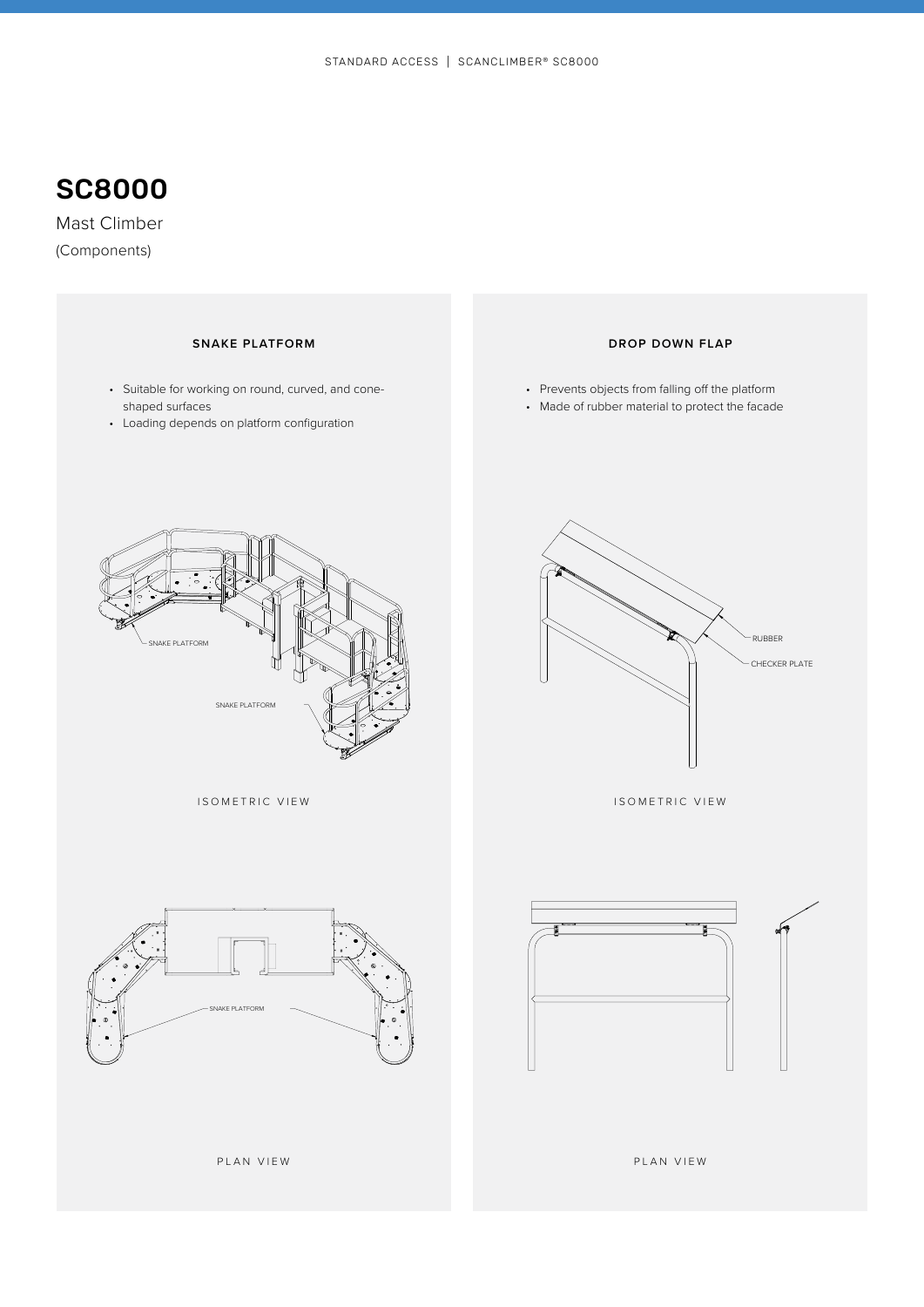Mast Climber (Components)

- Suitable for working on round, curved, and coneshaped surfaces
- Loading depends on platform configuration

### **SNAKE PLATFORM DROP DOWN FLAP**

- Prevents objects from falling off the platform
- Made of rubber material to protect the facade



ISOMETRIC VIEW



ISOMETRIC VIEW





PLAN VIEW

PLAN VIEW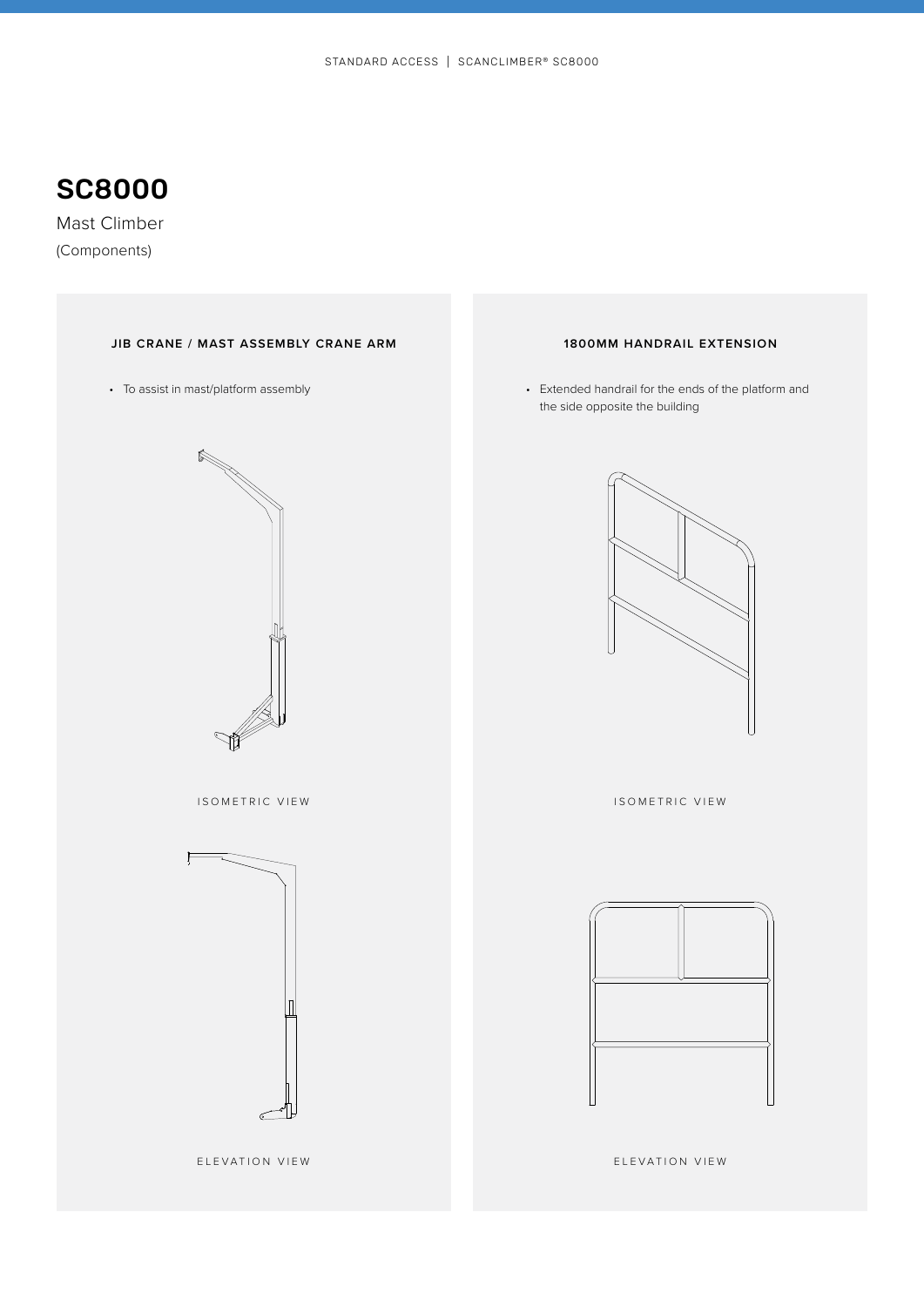Mast Climber (Components)

### **JIB CRANE / MAST ASSEMBLY CRANE ARM 1800MM HANDRAIL EXTENSION**



ISOMETRIC VIEW



ELEVATION VIEW

• To assist in mast/platform assembly entitled that the ends of the platform and the side opposite the building



ISOMETRIC VIEW



ELEVATION VIEW